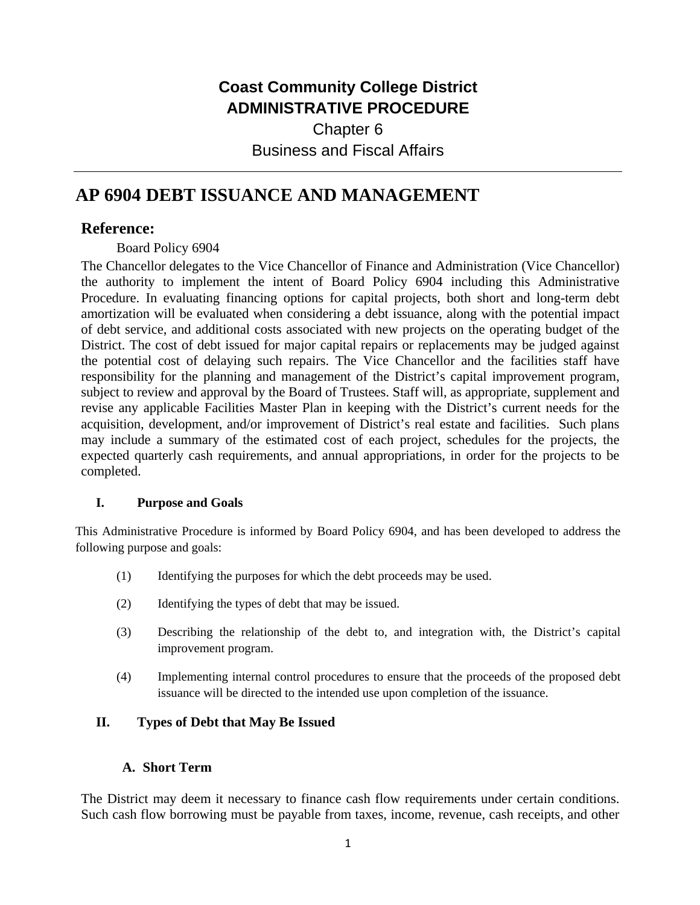# **Coast Community College District ADMINISTRATIVE PROCEDURE**

Chapter 6 Business and Fiscal Affairs

# **AP 6904 DEBT ISSUANCE AND MANAGEMENT**

# **Reference:**

Board Policy 6904

The Chancellor delegates to the Vice Chancellor of Finance and Administration (Vice Chancellor) the authority to implement the intent of Board Policy 6904 including this Administrative Procedure. In evaluating financing options for capital projects, both short and long-term debt amortization will be evaluated when considering a debt issuance, along with the potential impact of debt service, and additional costs associated with new projects on the operating budget of the District. The cost of debt issued for major capital repairs or replacements may be judged against the potential cost of delaying such repairs. The Vice Chancellor and the facilities staff have responsibility for the planning and management of the District's capital improvement program, subject to review and approval by the Board of Trustees. Staff will, as appropriate, supplement and revise any applicable Facilities Master Plan in keeping with the District's current needs for the acquisition, development, and/or improvement of District's real estate and facilities. Such plans may include a summary of the estimated cost of each project, schedules for the projects, the expected quarterly cash requirements, and annual appropriations, in order for the projects to be completed.

## **I. Purpose and Goals**

This Administrative Procedure is informed by Board Policy 6904, and has been developed to address the following purpose and goals:

- (1) Identifying the purposes for which the debt proceeds may be used.
- (2) Identifying the types of debt that may be issued.
- (3) Describing the relationship of the debt to, and integration with, the District's capital improvement program.
- (4) Implementing internal control procedures to ensure that the proceeds of the proposed debt issuance will be directed to the intended use upon completion of the issuance.

## **II. Types of Debt that May Be Issued**

#### **A. Short Term**

The District may deem it necessary to finance cash flow requirements under certain conditions. Such cash flow borrowing must be payable from taxes, income, revenue, cash receipts, and other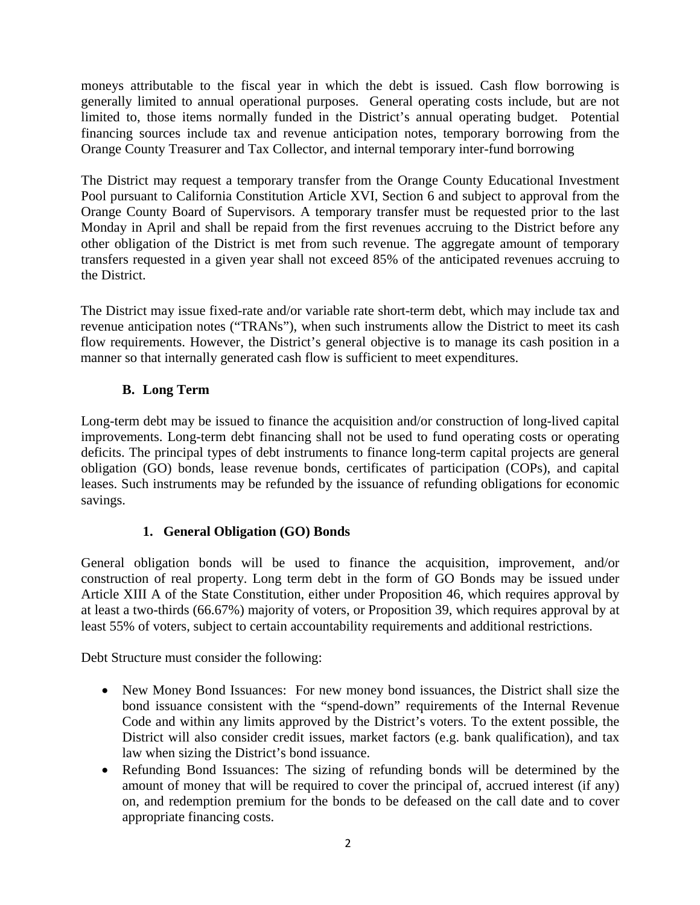moneys attributable to the fiscal year in which the debt is issued. Cash flow borrowing is generally limited to annual operational purposes. General operating costs include, but are not limited to, those items normally funded in the District's annual operating budget. Potential financing sources include tax and revenue anticipation notes, temporary borrowing from the Orange County Treasurer and Tax Collector, and internal temporary inter-fund borrowing

The District may request a temporary transfer from the Orange County Educational Investment Pool pursuant to California Constitution Article XVI, Section 6 and subject to approval from the Orange County Board of Supervisors. A temporary transfer must be requested prior to the last Monday in April and shall be repaid from the first revenues accruing to the District before any other obligation of the District is met from such revenue. The aggregate amount of temporary transfers requested in a given year shall not exceed 85% of the anticipated revenues accruing to the District.

The District may issue fixed-rate and/or variable rate short-term debt, which may include tax and revenue anticipation notes ("TRANs"), when such instruments allow the District to meet its cash flow requirements. However, the District's general objective is to manage its cash position in a manner so that internally generated cash flow is sufficient to meet expenditures.

# **B. Long Term**

Long-term debt may be issued to finance the acquisition and/or construction of long-lived capital improvements. Long-term debt financing shall not be used to fund operating costs or operating deficits. The principal types of debt instruments to finance long-term capital projects are general obligation (GO) bonds, lease revenue bonds, certificates of participation (COPs), and capital leases. Such instruments may be refunded by the issuance of refunding obligations for economic savings.

## **1. General Obligation (GO) Bonds**

General obligation bonds will be used to finance the acquisition, improvement, and/or construction of real property. Long term debt in the form of GO Bonds may be issued under Article XIII A of the State Constitution, either under Proposition 46, which requires approval by at least a two-thirds (66.67%) majority of voters, or Proposition 39, which requires approval by at least 55% of voters, subject to certain accountability requirements and additional restrictions.

Debt Structure must consider the following:

- New Money Bond Issuances: For new money bond issuances, the District shall size the bond issuance consistent with the "spend-down" requirements of the Internal Revenue Code and within any limits approved by the District's voters. To the extent possible, the District will also consider credit issues, market factors (e.g. bank qualification), and tax law when sizing the District's bond issuance.
- Refunding Bond Issuances: The sizing of refunding bonds will be determined by the amount of money that will be required to cover the principal of, accrued interest (if any) on, and redemption premium for the bonds to be defeased on the call date and to cover appropriate financing costs.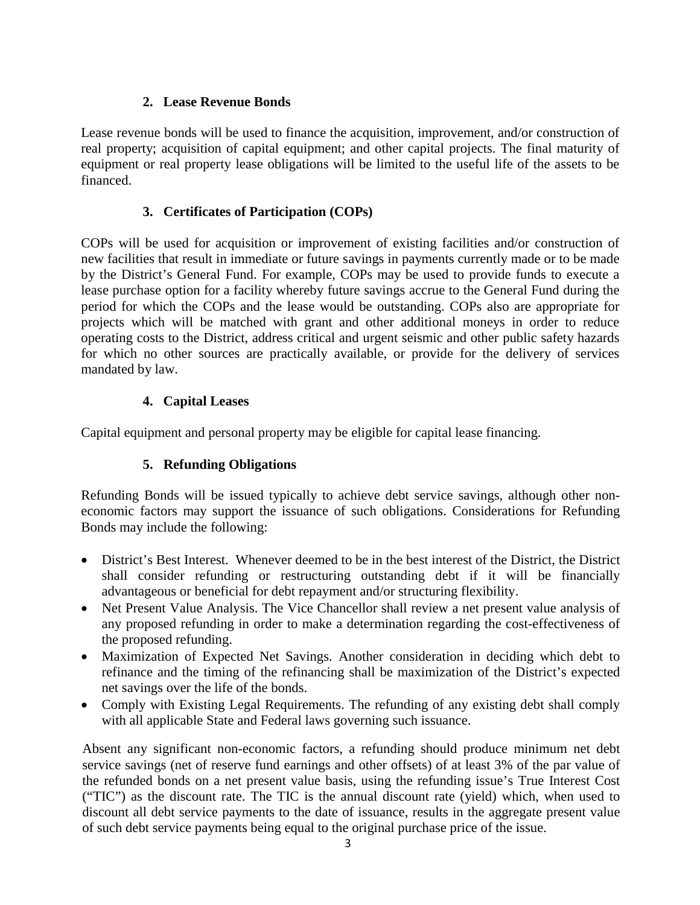## **2. Lease Revenue Bonds**

Lease revenue bonds will be used to finance the acquisition, improvement, and/or construction of real property; acquisition of capital equipment; and other capital projects. The final maturity of equipment or real property lease obligations will be limited to the useful life of the assets to be financed.

# **3. Certificates of Participation (COPs)**

COPs will be used for acquisition or improvement of existing facilities and/or construction of new facilities that result in immediate or future savings in payments currently made or to be made by the District's General Fund. For example, COPs may be used to provide funds to execute a lease purchase option for a facility whereby future savings accrue to the General Fund during the period for which the COPs and the lease would be outstanding. COPs also are appropriate for projects which will be matched with grant and other additional moneys in order to reduce operating costs to the District, address critical and urgent seismic and other public safety hazards for which no other sources are practically available, or provide for the delivery of services mandated by law.

# **4. Capital Leases**

Capital equipment and personal property may be eligible for capital lease financing.

# **5. Refunding Obligations**

Refunding Bonds will be issued typically to achieve debt service savings, although other noneconomic factors may support the issuance of such obligations. Considerations for Refunding Bonds may include the following:

- District's Best Interest. Whenever deemed to be in the best interest of the District, the District shall consider refunding or restructuring outstanding debt if it will be financially advantageous or beneficial for debt repayment and/or structuring flexibility.
- Net Present Value Analysis. The Vice Chancellor shall review a net present value analysis of any proposed refunding in order to make a determination regarding the cost-effectiveness of the proposed refunding.
- Maximization of Expected Net Savings. Another consideration in deciding which debt to refinance and the timing of the refinancing shall be maximization of the District's expected net savings over the life of the bonds.
- Comply with Existing Legal Requirements. The refunding of any existing debt shall comply with all applicable State and Federal laws governing such issuance.

Absent any significant non-economic factors, a refunding should produce minimum net debt service savings (net of reserve fund earnings and other offsets) of at least 3% of the par value of the refunded bonds on a net present value basis, using the refunding issue's True Interest Cost ("TIC") as the discount rate. The TIC is the annual discount rate (yield) which, when used to discount all debt service payments to the date of issuance, results in the aggregate present value of such debt service payments being equal to the original purchase price of the issue.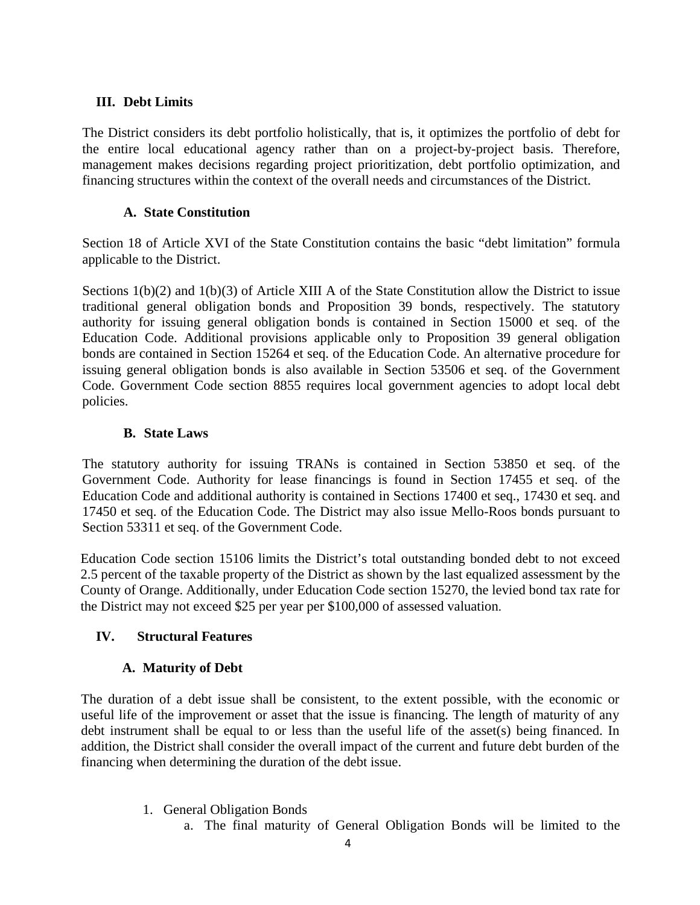#### **III. Debt Limits**

The District considers its debt portfolio holistically, that is, it optimizes the portfolio of debt for the entire local educational agency rather than on a project-by-project basis. Therefore, management makes decisions regarding project prioritization, debt portfolio optimization, and financing structures within the context of the overall needs and circumstances of the District.

#### **A. State Constitution**

Section 18 of Article XVI of the State Constitution contains the basic "debt limitation" formula applicable to the District.

Sections 1(b)(2) and 1(b)(3) of Article XIII A of the State Constitution allow the District to issue traditional general obligation bonds and Proposition 39 bonds, respectively. The statutory authority for issuing general obligation bonds is contained in Section 15000 et seq. of the Education Code. Additional provisions applicable only to Proposition 39 general obligation bonds are contained in Section 15264 et seq. of the Education Code. An alternative procedure for issuing general obligation bonds is also available in Section 53506 et seq. of the Government Code. Government Code section 8855 requires local government agencies to adopt local debt policies.

#### **B. State Laws**

The statutory authority for issuing TRANs is contained in Section 53850 et seq. of the Government Code. Authority for lease financings is found in Section 17455 et seq. of the Education Code and additional authority is contained in Sections 17400 et seq., 17430 et seq. and 17450 et seq. of the Education Code. The District may also issue Mello-Roos bonds pursuant to Section 53311 et seq. of the Government Code.

Education Code section 15106 limits the District's total outstanding bonded debt to not exceed 2.5 percent of the taxable property of the District as shown by the last equalized assessment by the County of Orange. Additionally, under Education Code section 15270, the levied bond tax rate for the District may not exceed \$25 per year per \$100,000 of assessed valuation.

## **IV. Structural Features**

## **A. Maturity of Debt**

The duration of a debt issue shall be consistent, to the extent possible, with the economic or useful life of the improvement or asset that the issue is financing. The length of maturity of any debt instrument shall be equal to or less than the useful life of the asset(s) being financed. In addition, the District shall consider the overall impact of the current and future debt burden of the financing when determining the duration of the debt issue.

- 1. General Obligation Bonds
	- a. The final maturity of General Obligation Bonds will be limited to the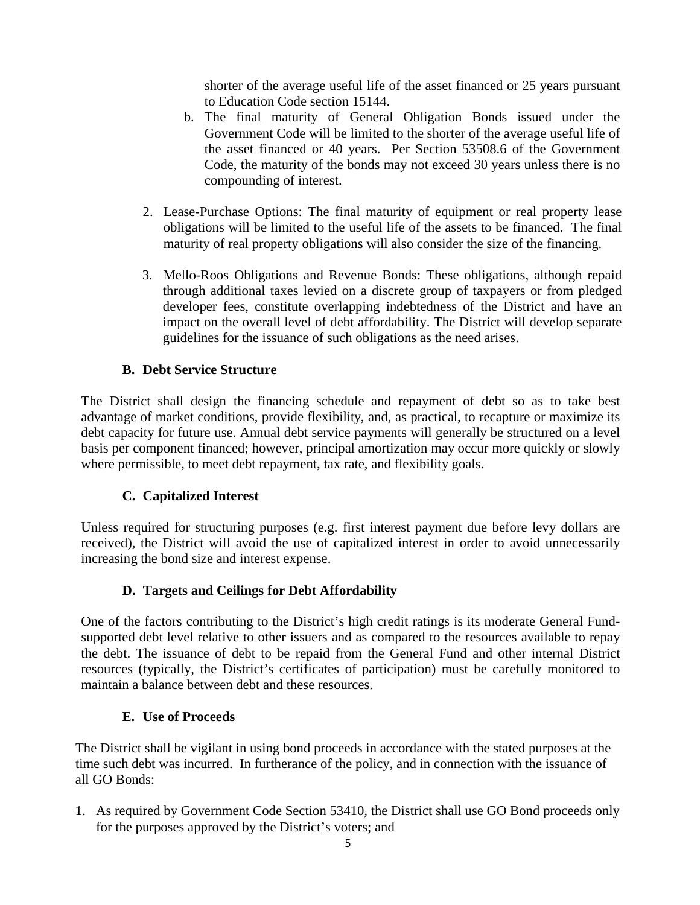shorter of the average useful life of the asset financed or 25 years pursuant to Education Code section 15144.

- b. The final maturity of General Obligation Bonds issued under the Government Code will be limited to the shorter of the average useful life of the asset financed or 40 years. Per Section 53508.6 of the Government Code, the maturity of the bonds may not exceed 30 years unless there is no compounding of interest.
- 2. Lease-Purchase Options: The final maturity of equipment or real property lease obligations will be limited to the useful life of the assets to be financed. The final maturity of real property obligations will also consider the size of the financing.
- 3. Mello-Roos Obligations and Revenue Bonds: These obligations, although repaid through additional taxes levied on a discrete group of taxpayers or from pledged developer fees, constitute overlapping indebtedness of the District and have an impact on the overall level of debt affordability. The District will develop separate guidelines for the issuance of such obligations as the need arises.

# **B. Debt Service Structure**

The District shall design the financing schedule and repayment of debt so as to take best advantage of market conditions, provide flexibility, and, as practical, to recapture or maximize its debt capacity for future use. Annual debt service payments will generally be structured on a level basis per component financed; however, principal amortization may occur more quickly or slowly where permissible, to meet debt repayment, tax rate, and flexibility goals.

## **C. Capitalized Interest**

Unless required for structuring purposes (e.g. first interest payment due before levy dollars are received), the District will avoid the use of capitalized interest in order to avoid unnecessarily increasing the bond size and interest expense.

## **D. Targets and Ceilings for Debt Affordability**

One of the factors contributing to the District's high credit ratings is its moderate General Fundsupported debt level relative to other issuers and as compared to the resources available to repay the debt. The issuance of debt to be repaid from the General Fund and other internal District resources (typically, the District's certificates of participation) must be carefully monitored to maintain a balance between debt and these resources.

#### **E. Use of Proceeds**

The District shall be vigilant in using bond proceeds in accordance with the stated purposes at the time such debt was incurred. In furtherance of the policy, and in connection with the issuance of all GO Bonds:

1. As required by Government Code Section 53410, the District shall use GO Bond proceeds only for the purposes approved by the District's voters; and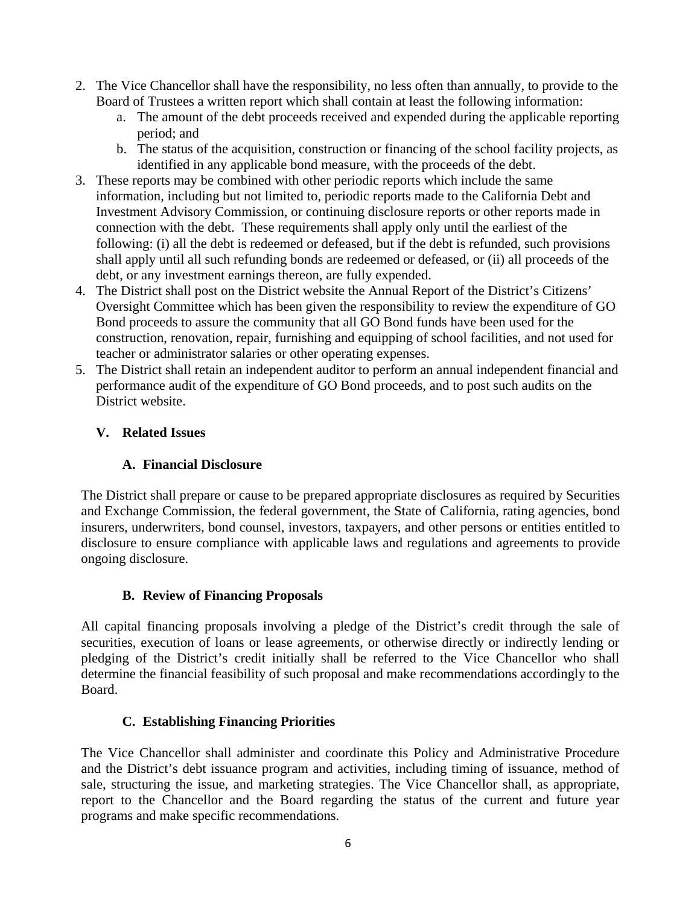- 2. The Vice Chancellor shall have the responsibility, no less often than annually, to provide to the Board of Trustees a written report which shall contain at least the following information:
	- a. The amount of the debt proceeds received and expended during the applicable reporting period; and
	- b. The status of the acquisition, construction or financing of the school facility projects, as identified in any applicable bond measure, with the proceeds of the debt.
- 3. These reports may be combined with other periodic reports which include the same information, including but not limited to, periodic reports made to the California Debt and Investment Advisory Commission, or continuing disclosure reports or other reports made in connection with the debt. These requirements shall apply only until the earliest of the following: (i) all the debt is redeemed or defeased, but if the debt is refunded, such provisions shall apply until all such refunding bonds are redeemed or defeased, or (ii) all proceeds of the debt, or any investment earnings thereon, are fully expended.
- 4. The District shall post on the District website the Annual Report of the District's Citizens' Oversight Committee which has been given the responsibility to review the expenditure of GO Bond proceeds to assure the community that all GO Bond funds have been used for the construction, renovation, repair, furnishing and equipping of school facilities, and not used for teacher or administrator salaries or other operating expenses.
- 5. The District shall retain an independent auditor to perform an annual independent financial and performance audit of the expenditure of GO Bond proceeds, and to post such audits on the District website.

# **V. Related Issues**

# **A. Financial Disclosure**

The District shall prepare or cause to be prepared appropriate disclosures as required by Securities and Exchange Commission, the federal government, the State of California, rating agencies, bond insurers, underwriters, bond counsel, investors, taxpayers, and other persons or entities entitled to disclosure to ensure compliance with applicable laws and regulations and agreements to provide ongoing disclosure.

# **B. Review of Financing Proposals**

All capital financing proposals involving a pledge of the District's credit through the sale of securities, execution of loans or lease agreements, or otherwise directly or indirectly lending or pledging of the District's credit initially shall be referred to the Vice Chancellor who shall determine the financial feasibility of such proposal and make recommendations accordingly to the Board.

## **C. Establishing Financing Priorities**

The Vice Chancellor shall administer and coordinate this Policy and Administrative Procedure and the District's debt issuance program and activities, including timing of issuance, method of sale, structuring the issue, and marketing strategies. The Vice Chancellor shall, as appropriate, report to the Chancellor and the Board regarding the status of the current and future year programs and make specific recommendations.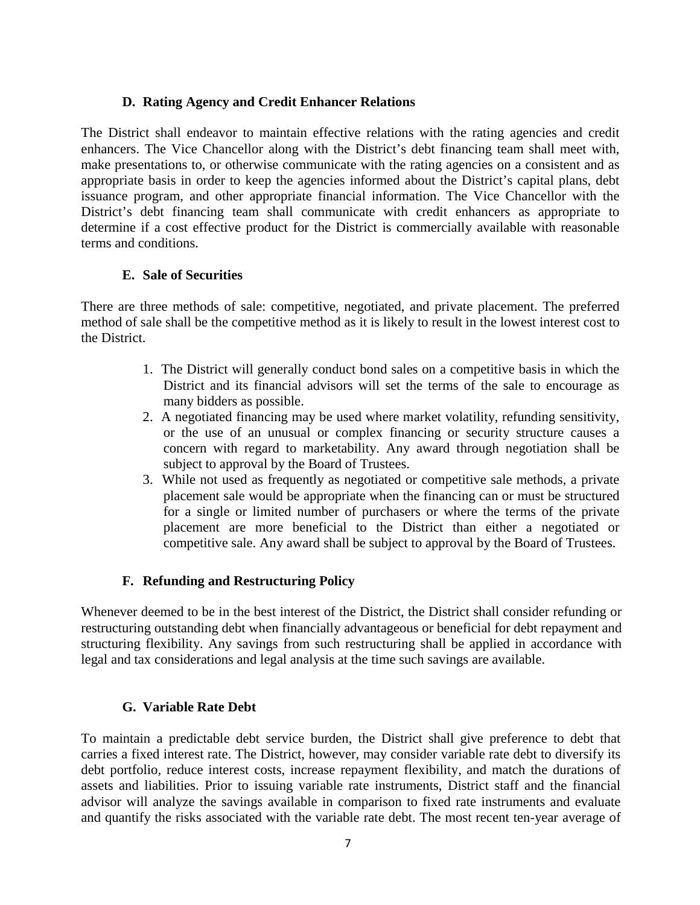#### **D. Rating Agency and Credit Enhancer Relations**

The District shall endeavor to maintain effective relations with the rating agencies and credit enhancers. The Vice Chancellor along with the District's debt financing team shall meet with, make presentations to, or otherwise communicate with the rating agencies on a consistent and as appropriate basis in order to keep the agencies informed about the District's capital plans, debt issuance program, and other appropriate financial information. The Vice Chancellor with the District's debt financing team shall communicate with credit enhancers as appropriate to determine if a cost effective product for the District is commercially available with reasonable terms and conditions.

## **E. Sale of Securities**

There are three methods of sale: competitive, negotiated, and private placement. The preferred method of sale shall be the competitive method as it is likely to result in the lowest interest cost to the District.

- 1. The District will generally conduct bond sales on a competitive basis in which the District and its financial advisors will set the terms of the sale to encourage as many bidders as possible.
- 2. A negotiated financing may be used where market volatility, refunding sensitivity, or the use of an unusual or complex financing or security structure causes a concern with regard to marketability. Any award through negotiation shall be subject to approval by the Board of Trustees.
- 3. While not used as frequently as negotiated or competitive sale methods, a private placement sale would be appropriate when the financing can or must be structured for a single or limited number of purchasers or where the terms of the private placement are more beneficial to the District than either a negotiated or competitive sale. Any award shall be subject to approval by the Board of Trustees.

# **F. Refunding and Restructuring Policy**

Whenever deemed to be in the best interest of the District, the District shall consider refunding or restructuring outstanding debt when financially advantageous or beneficial for debt repayment and structuring flexibility. Any savings from such restructuring shall be applied in accordance with legal and tax considerations and legal analysis at the time such savings are available.

## **G. Variable Rate Debt**

To maintain a predictable debt service burden, the District shall give preference to debt that carries a fixed interest rate. The District, however, may consider variable rate debt to diversify its debt portfolio, reduce interest costs, increase repayment flexibility, and match the durations of assets and liabilities. Prior to issuing variable rate instruments, District staff and the financial advisor will analyze the savings available in comparison to fixed rate instruments and evaluate and quantify the risks associated with the variable rate debt. The most recent ten-year average of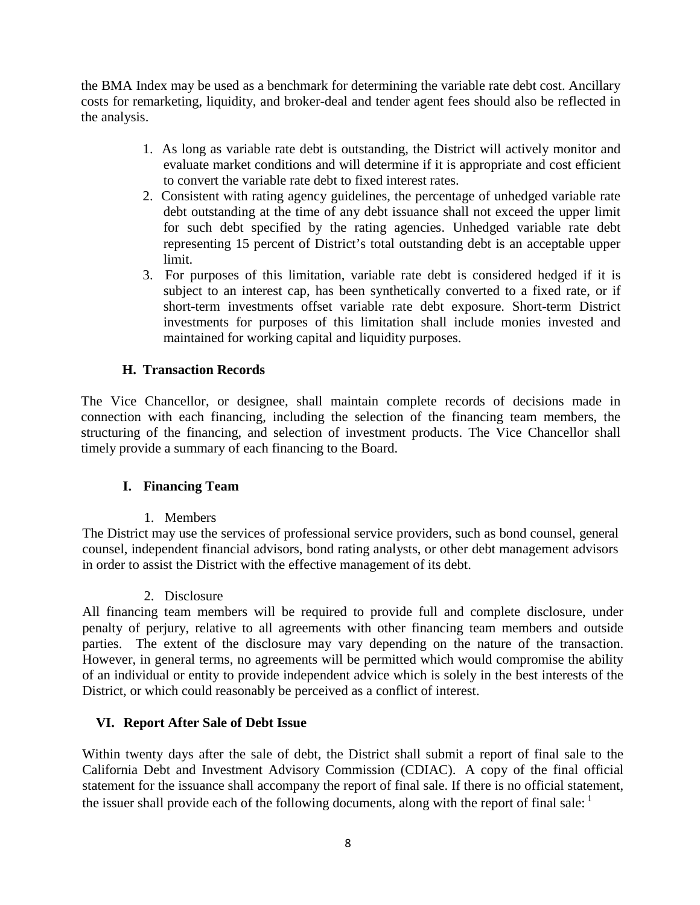the BMA Index may be used as a benchmark for determining the variable rate debt cost. Ancillary costs for remarketing, liquidity, and broker-deal and tender agent fees should also be reflected in the analysis.

- 1. As long as variable rate debt is outstanding, the District will actively monitor and evaluate market conditions and will determine if it is appropriate and cost efficient to convert the variable rate debt to fixed interest rates.
- 2. Consistent with rating agency guidelines, the percentage of unhedged variable rate debt outstanding at the time of any debt issuance shall not exceed the upper limit for such debt specified by the rating agencies. Unhedged variable rate debt representing 15 percent of District's total outstanding debt is an acceptable upper limit.
- 3. For purposes of this limitation, variable rate debt is considered hedged if it is subject to an interest cap, has been synthetically converted to a fixed rate, or if short-term investments offset variable rate debt exposure. Short-term District investments for purposes of this limitation shall include monies invested and maintained for working capital and liquidity purposes.

## **H. Transaction Records**

The Vice Chancellor, or designee, shall maintain complete records of decisions made in connection with each financing, including the selection of the financing team members, the structuring of the financing, and selection of investment products. The Vice Chancellor shall timely provide a summary of each financing to the Board.

## **I. Financing Team**

1. Members

The District may use the services of professional service providers, such as bond counsel, general counsel, independent financial advisors, bond rating analysts, or other debt management advisors in order to assist the District with the effective management of its debt.

#### 2. Disclosure

All financing team members will be required to provide full and complete disclosure, under penalty of perjury, relative to all agreements with other financing team members and outside parties. The extent of the disclosure may vary depending on the nature of the transaction. However, in general terms, no agreements will be permitted which would compromise the ability of an individual or entity to provide independent advice which is solely in the best interests of the District, or which could reasonably be perceived as a conflict of interest.

## **VI. Report After Sale of Debt Issue**

Within twenty days after the sale of debt, the District shall submit a report of final sale to the California Debt and Investment Advisory Commission (CDIAC). A copy of the final official statement for the issuance shall accompany the report of final sale. If there is no official statement, the issuer shall provide each of the following documents, along with the report of final sale: <sup>1</sup>